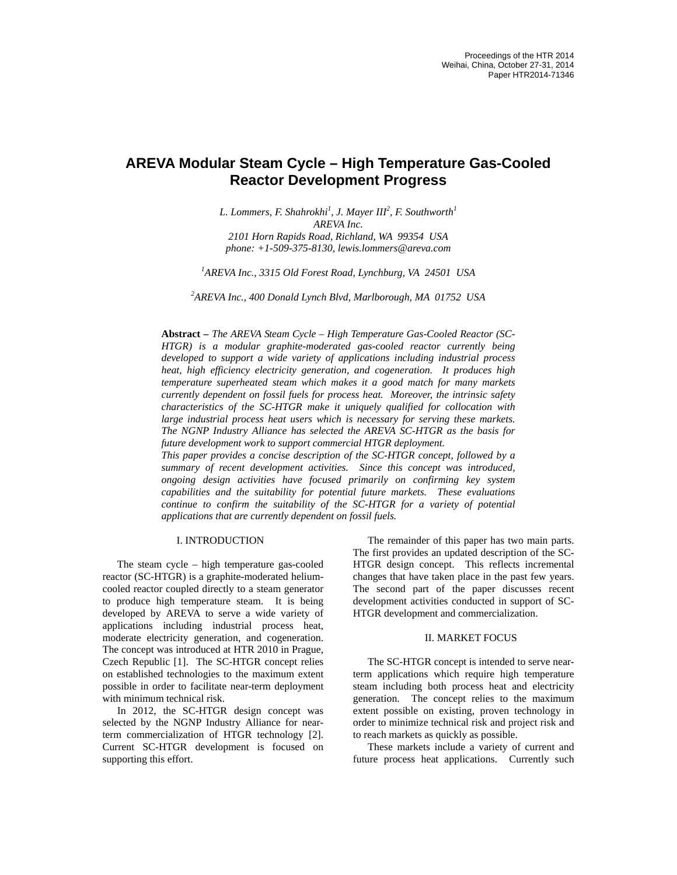# **AREVA Modular Steam Cycle – High Temperature Gas-Cooled Reactor Development Progress**

*L. Lommers, F. Shahrokhi<sup>1</sup> , J. Mayer III<sup>2</sup> , F. Southworth<sup>1</sup> AREVA Inc. 2101 Horn Rapids Road, Richland, WA 99354 USA phone: +1-509-375-8130, lewis.lommers@areva.com* 

*1 AREVA Inc., 3315 Old Forest Road, Lynchburg, VA 24501 USA* 

*2 AREVA Inc., 400 Donald Lynch Blvd, Marlborough, MA 01752 USA*

**Abstract –** *The AREVA Steam Cycle – High Temperature Gas-Cooled Reactor (SC-HTGR) is a modular graphite-moderated gas-cooled reactor currently being developed to support a wide variety of applications including industrial process heat, high efficiency electricity generation, and cogeneration. It produces high temperature superheated steam which makes it a good match for many markets currently dependent on fossil fuels for process heat. Moreover, the intrinsic safety characteristics of the SC-HTGR make it uniquely qualified for collocation with large industrial process heat users which is necessary for serving these markets. The NGNP Industry Alliance has selected the AREVA SC-HTGR as the basis for future development work to support commercial HTGR deployment.* 

*This paper provides a concise description of the SC-HTGR concept, followed by a summary of recent development activities. Since this concept was introduced, ongoing design activities have focused primarily on confirming key system capabilities and the suitability for potential future markets. These evaluations continue to confirm the suitability of the SC-HTGR for a variety of potential applications that are currently dependent on fossil fuels.* 

## I. INTRODUCTION

The steam cycle – high temperature gas-cooled reactor (SC-HTGR) is a graphite-moderated heliumcooled reactor coupled directly to a steam generator to produce high temperature steam. It is being developed by AREVA to serve a wide variety of applications including industrial process heat, moderate electricity generation, and cogeneration. The concept was introduced at HTR 2010 in Prague, Czech Republic [1]. The SC-HTGR concept relies on established technologies to the maximum extent possible in order to facilitate near-term deployment with minimum technical risk.

In 2012, the SC-HTGR design concept was selected by the NGNP Industry Alliance for nearterm commercialization of HTGR technology [2]. Current SC-HTGR development is focused on supporting this effort.

The remainder of this paper has two main parts. The first provides an updated description of the SC-HTGR design concept. This reflects incremental changes that have taken place in the past few years. The second part of the paper discusses recent development activities conducted in support of SC-HTGR development and commercialization.

#### II. MARKET FOCUS

The SC-HTGR concept is intended to serve nearterm applications which require high temperature steam including both process heat and electricity generation. The concept relies to the maximum extent possible on existing, proven technology in order to minimize technical risk and project risk and to reach markets as quickly as possible.

These markets include a variety of current and future process heat applications. Currently such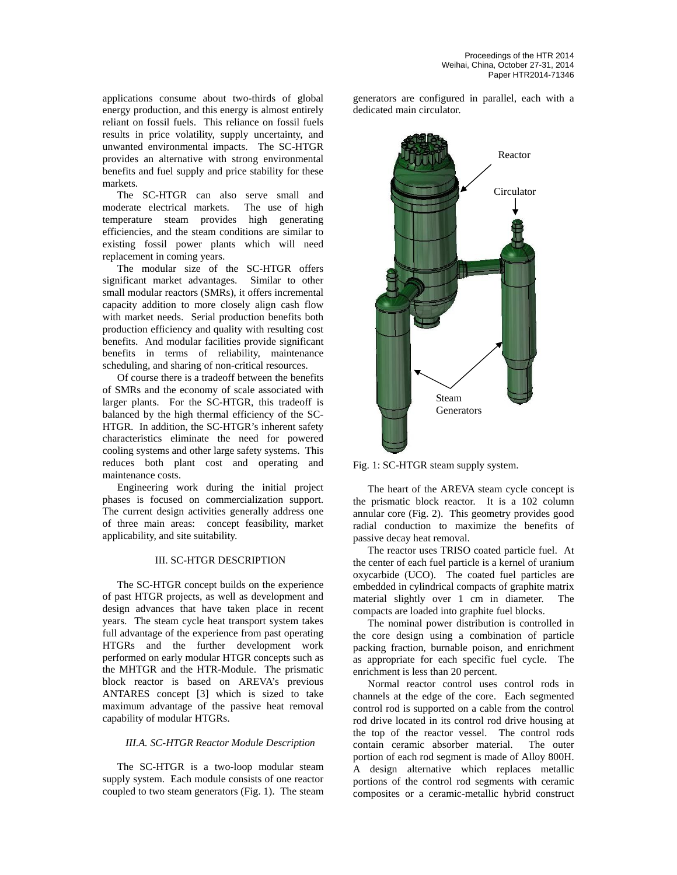applications consume about two-thirds of global energy production, and this energy is almost entirely reliant on fossil fuels. This reliance on fossil fuels results in price volatility, supply uncertainty, and unwanted environmental impacts. The SC-HTGR provides an alternative with strong environmental benefits and fuel supply and price stability for these markets.

The SC-HTGR can also serve small and moderate electrical markets. The use of high temperature steam provides high generating efficiencies, and the steam conditions are similar to existing fossil power plants which will need replacement in coming years.

The modular size of the SC-HTGR offers significant market advantages. Similar to other small modular reactors (SMRs), it offers incremental capacity addition to more closely align cash flow with market needs. Serial production benefits both production efficiency and quality with resulting cost benefits. And modular facilities provide significant benefits in terms of reliability, maintenance scheduling, and sharing of non-critical resources.

Of course there is a tradeoff between the benefits of SMRs and the economy of scale associated with larger plants. For the SC-HTGR, this tradeoff is balanced by the high thermal efficiency of the SC-HTGR. In addition, the SC-HTGR's inherent safety characteristics eliminate the need for powered cooling systems and other large safety systems. This reduces both plant cost and operating and maintenance costs.

Engineering work during the initial project phases is focused on commercialization support. The current design activities generally address one of three main areas: concept feasibility, market applicability, and site suitability.

# III. SC-HTGR DESCRIPTION

The SC-HTGR concept builds on the experience of past HTGR projects, as well as development and design advances that have taken place in recent years. The steam cycle heat transport system takes full advantage of the experience from past operating HTGRs and the further development work performed on early modular HTGR concepts such as the MHTGR and the HTR-Module. The prismatic block reactor is based on AREVA's previous ANTARES concept [3] which is sized to take maximum advantage of the passive heat removal capability of modular HTGRs.

## *III.A. SC-HTGR Reactor Module Description*

The SC-HTGR is a two-loop modular steam supply system. Each module consists of one reactor coupled to two steam generators (Fig. 1). The steam generators are configured in parallel, each with a dedicated main circulator.



Fig. 1: SC-HTGR steam supply system.

The heart of the AREVA steam cycle concept is the prismatic block reactor. It is a 102 column annular core (Fig. 2). This geometry provides good radial conduction to maximize the benefits of passive decay heat removal.

The reactor uses TRISO coated particle fuel. At the center of each fuel particle is a kernel of uranium oxycarbide (UCO). The coated fuel particles are embedded in cylindrical compacts of graphite matrix material slightly over 1 cm in diameter. The compacts are loaded into graphite fuel blocks.

The nominal power distribution is controlled in the core design using a combination of particle packing fraction, burnable poison, and enrichment as appropriate for each specific fuel cycle. The enrichment is less than 20 percent.

Normal reactor control uses control rods in channels at the edge of the core. Each segmented control rod is supported on a cable from the control rod drive located in its control rod drive housing at the top of the reactor vessel. The control rods contain ceramic absorber material. The outer portion of each rod segment is made of Alloy 800H. A design alternative which replaces metallic portions of the control rod segments with ceramic composites or a ceramic-metallic hybrid construct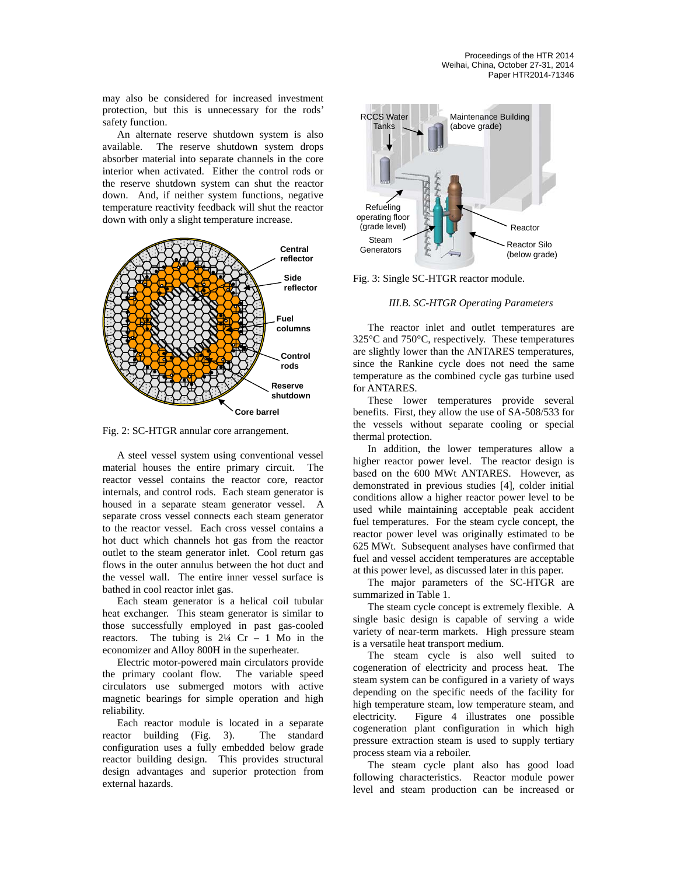may also be considered for increased investment protection, but this is unnecessary for the rods' safety function.

An alternate reserve shutdown system is also available. The reserve shutdown system drops absorber material into separate channels in the core interior when activated. Either the control rods or the reserve shutdown system can shut the reactor down. And, if neither system functions, negative temperature reactivity feedback will shut the reactor down with only a slight temperature increase.



Fig. 2: SC-HTGR annular core arrangement.

A steel vessel system using conventional vessel material houses the entire primary circuit. The reactor vessel contains the reactor core, reactor internals, and control rods. Each steam generator is housed in a separate steam generator vessel. A separate cross vessel connects each steam generator to the reactor vessel. Each cross vessel contains a hot duct which channels hot gas from the reactor outlet to the steam generator inlet. Cool return gas flows in the outer annulus between the hot duct and the vessel wall. The entire inner vessel surface is bathed in cool reactor inlet gas.

Each steam generator is a helical coil tubular heat exchanger. This steam generator is similar to those successfully employed in past gas-cooled reactors. The tubing is  $2\frac{1}{4}$  Cr – 1 Mo in the economizer and Alloy 800H in the superheater.

Electric motor-powered main circulators provide the primary coolant flow. The variable speed circulators use submerged motors with active magnetic bearings for simple operation and high reliability.

Each reactor module is located in a separate reactor building (Fig. 3). The standard configuration uses a fully embedded below grade reactor building design. This provides structural design advantages and superior protection from external hazards.



Fig. 3: Single SC-HTGR reactor module.

#### *III.B. SC-HTGR Operating Parameters*

The reactor inlet and outlet temperatures are 325°C and 750°C, respectively. These temperatures are slightly lower than the ANTARES temperatures, since the Rankine cycle does not need the same temperature as the combined cycle gas turbine used for ANTARES.

These lower temperatures provide several benefits. First, they allow the use of SA-508/533 for the vessels without separate cooling or special thermal protection.

In addition, the lower temperatures allow a higher reactor power level. The reactor design is based on the 600 MWt ANTARES. However, as demonstrated in previous studies [4], colder initial conditions allow a higher reactor power level to be used while maintaining acceptable peak accident fuel temperatures. For the steam cycle concept, the reactor power level was originally estimated to be 625 MWt. Subsequent analyses have confirmed that fuel and vessel accident temperatures are acceptable at this power level, as discussed later in this paper.

The major parameters of the SC-HTGR are summarized in Table 1.

The steam cycle concept is extremely flexible. A single basic design is capable of serving a wide variety of near-term markets. High pressure steam is a versatile heat transport medium.

The steam cycle is also well suited to cogeneration of electricity and process heat. The steam system can be configured in a variety of ways depending on the specific needs of the facility for high temperature steam, low temperature steam, and electricity. Figure 4 illustrates one possible cogeneration plant configuration in which high pressure extraction steam is used to supply tertiary process steam via a reboiler.

The steam cycle plant also has good load following characteristics. Reactor module power level and steam production can be increased or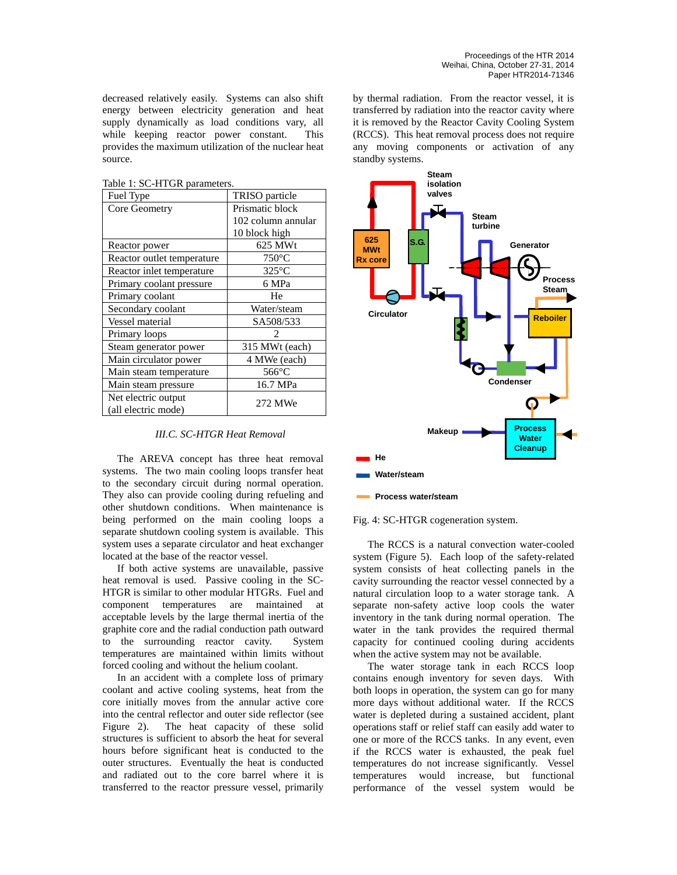decreased relatively easily. Systems can also shift energy between electricity generation and heat supply dynamically as load conditions vary, all while keeping reactor power constant. This provides the maximum utilization of the nuclear heat source.

Table 1: SC-HTGR parameters.

| Fuel Type                  | TRISO particle     |  |  |
|----------------------------|--------------------|--|--|
| Core Geometry              | Prismatic block    |  |  |
|                            | 102 column annular |  |  |
|                            | 10 block high      |  |  |
| Reactor power              | 625 MWt            |  |  |
| Reactor outlet temperature | $750^{\circ}$ C    |  |  |
| Reactor inlet temperature  | $325^{\circ}$ C    |  |  |
| Primary coolant pressure   | 6 MPa              |  |  |
| Primary coolant            | He                 |  |  |
| Secondary coolant          | Water/steam        |  |  |
| Vessel material            | SA508/533          |  |  |
| Primary loops              |                    |  |  |
| Steam generator power      | 315 MWt (each)     |  |  |
| Main circulator power      | 4 MWe (each)       |  |  |
| Main steam temperature     | $566^{\circ}$ C    |  |  |
| Main steam pressure        | 16.7 MPa           |  |  |
| Net electric output        | 272 MWe            |  |  |
| (all electric mode)        |                    |  |  |

## *III.C. SC-HTGR Heat Removal*

The AREVA concept has three heat removal systems. The two main cooling loops transfer heat to the secondary circuit during normal operation. They also can provide cooling during refueling and other shutdown conditions. When maintenance is being performed on the main cooling loops a separate shutdown cooling system is available. This system uses a separate circulator and heat exchanger located at the base of the reactor vessel.

If both active systems are unavailable, passive heat removal is used. Passive cooling in the SC-HTGR is similar to other modular HTGRs. Fuel and component temperatures are maintained at acceptable levels by the large thermal inertia of the graphite core and the radial conduction path outward to the surrounding reactor cavity. System temperatures are maintained within limits without forced cooling and without the helium coolant.

In an accident with a complete loss of primary coolant and active cooling systems, heat from the core initially moves from the annular active core into the central reflector and outer side reflector (see Figure 2). The heat capacity of these solid structures is sufficient to absorb the heat for several hours before significant heat is conducted to the outer structures. Eventually the heat is conducted and radiated out to the core barrel where it is transferred to the reactor pressure vessel, primarily by thermal radiation. From the reactor vessel, it is transferred by radiation into the reactor cavity where it is removed by the Reactor Cavity Cooling System (RCCS). This heat removal process does not require any moving components or activation of any standby systems.



#### Fig. 4: SC-HTGR cogeneration system.

The RCCS is a natural convection water-cooled system (Figure 5). Each loop of the safety-related system consists of heat collecting panels in the cavity surrounding the reactor vessel connected by a natural circulation loop to a water storage tank. A separate non-safety active loop cools the water inventory in the tank during normal operation. The water in the tank provides the required thermal capacity for continued cooling during accidents when the active system may not be available.

The water storage tank in each RCCS loop contains enough inventory for seven days. With both loops in operation, the system can go for many more days without additional water. If the RCCS water is depleted during a sustained accident, plant operations staff or relief staff can easily add water to one or more of the RCCS tanks. In any event, even if the RCCS water is exhausted, the peak fuel temperatures do not increase significantly. Vessel temperatures would increase, but functional performance of the vessel system would be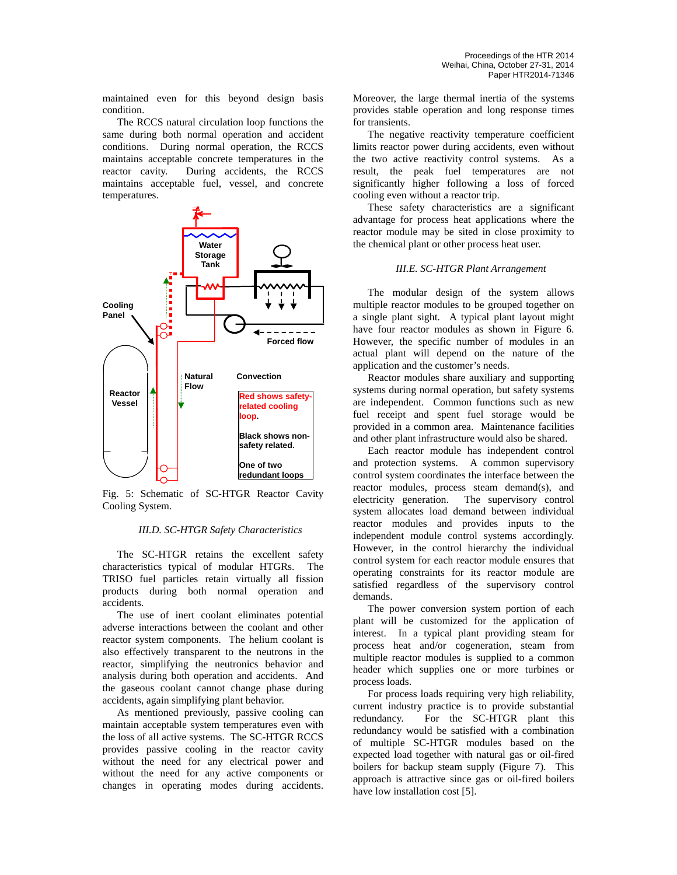maintained even for this beyond design basis condition.

The RCCS natural circulation loop functions the same during both normal operation and accident conditions. During normal operation, the RCCS maintains acceptable concrete temperatures in the reactor cavity. During accidents, the RCCS maintains acceptable fuel, vessel, and concrete temperatures.



Fig. 5: Schematic of SC-HTGR Reactor Cavity Cooling System.

## *III.D. SC-HTGR Safety Characteristics*

The SC-HTGR retains the excellent safety characteristics typical of modular HTGRs. The TRISO fuel particles retain virtually all fission products during both normal operation and accidents.

The use of inert coolant eliminates potential adverse interactions between the coolant and other reactor system components. The helium coolant is also effectively transparent to the neutrons in the reactor, simplifying the neutronics behavior and analysis during both operation and accidents. And the gaseous coolant cannot change phase during accidents, again simplifying plant behavior.

As mentioned previously, passive cooling can maintain acceptable system temperatures even with the loss of all active systems. The SC-HTGR RCCS provides passive cooling in the reactor cavity without the need for any electrical power and without the need for any active components or changes in operating modes during accidents. Moreover, the large thermal inertia of the systems provides stable operation and long response times for transients.

The negative reactivity temperature coefficient limits reactor power during accidents, even without the two active reactivity control systems. As a result, the peak fuel temperatures are not significantly higher following a loss of forced cooling even without a reactor trip.

These safety characteristics are a significant advantage for process heat applications where the reactor module may be sited in close proximity to the chemical plant or other process heat user.

## *III.E. SC-HTGR Plant Arrangement*

The modular design of the system allows multiple reactor modules to be grouped together on a single plant sight. A typical plant layout might have four reactor modules as shown in Figure 6. However, the specific number of modules in an actual plant will depend on the nature of the application and the customer's needs.

Reactor modules share auxiliary and supporting systems during normal operation, but safety systems are independent. Common functions such as new fuel receipt and spent fuel storage would be provided in a common area. Maintenance facilities and other plant infrastructure would also be shared.

Each reactor module has independent control and protection systems. A common supervisory control system coordinates the interface between the reactor modules, process steam demand(s), and electricity generation. The supervisory control system allocates load demand between individual reactor modules and provides inputs to the independent module control systems accordingly. However, in the control hierarchy the individual control system for each reactor module ensures that operating constraints for its reactor module are satisfied regardless of the supervisory control demands.

The power conversion system portion of each plant will be customized for the application of interest. In a typical plant providing steam for process heat and/or cogeneration, steam from multiple reactor modules is supplied to a common header which supplies one or more turbines or process loads.

For process loads requiring very high reliability, current industry practice is to provide substantial redundancy. For the SC-HTGR plant this redundancy would be satisfied with a combination of multiple SC-HTGR modules based on the expected load together with natural gas or oil-fired boilers for backup steam supply (Figure 7). This approach is attractive since gas or oil-fired boilers have low installation cost [5].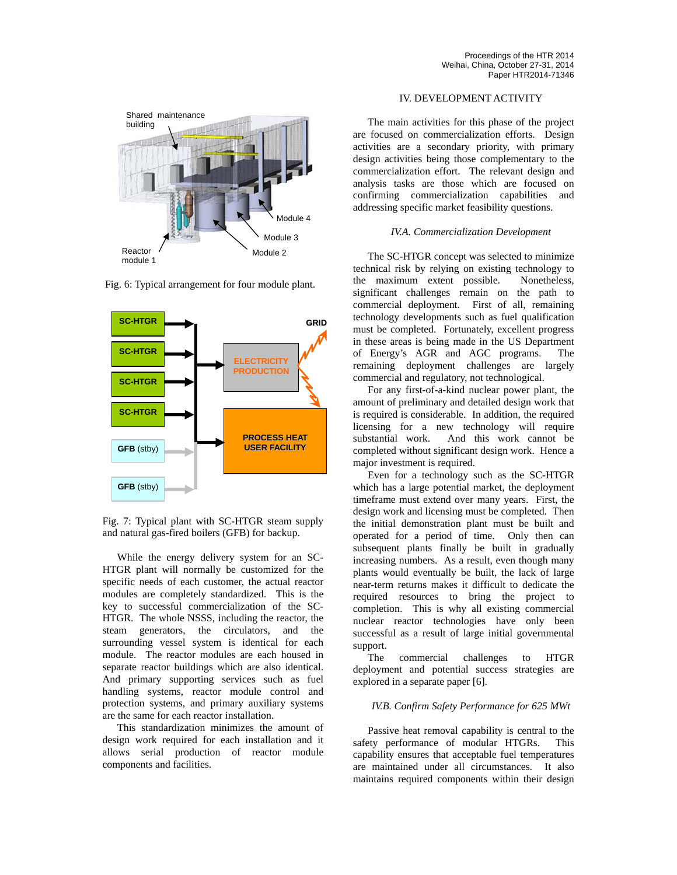

Fig. 6: Typical arrangement for four module plant.



Fig. 7: Typical plant with SC-HTGR steam supply and natural gas-fired boilers (GFB) for backup.

While the energy delivery system for an SC-HTGR plant will normally be customized for the specific needs of each customer, the actual reactor modules are completely standardized. This is the key to successful commercialization of the SC-HTGR. The whole NSSS, including the reactor, the steam generators, the circulators, and the surrounding vessel system is identical for each module. The reactor modules are each housed in separate reactor buildings which are also identical. And primary supporting services such as fuel handling systems, reactor module control and protection systems, and primary auxiliary systems are the same for each reactor installation.

This standardization minimizes the amount of design work required for each installation and it allows serial production of reactor module components and facilities.

# IV. DEVELOPMENT ACTIVITY

The main activities for this phase of the project are focused on commercialization efforts. Design activities are a secondary priority, with primary design activities being those complementary to the commercialization effort. The relevant design and analysis tasks are those which are focused on confirming commercialization capabilities and addressing specific market feasibility questions.

## *IV.A. Commercialization Development*

The SC-HTGR concept was selected to minimize technical risk by relying on existing technology to the maximum extent possible. Nonetheless, significant challenges remain on the path to commercial deployment. First of all, remaining technology developments such as fuel qualification must be completed. Fortunately, excellent progress in these areas is being made in the US Department of Energy's AGR and AGC programs. The remaining deployment challenges are largely commercial and regulatory, not technological.

For any first-of-a-kind nuclear power plant, the amount of preliminary and detailed design work that is required is considerable. In addition, the required licensing for a new technology will require substantial work. And this work cannot be completed without significant design work. Hence a major investment is required.

Even for a technology such as the SC-HTGR which has a large potential market, the deployment timeframe must extend over many years. First, the design work and licensing must be completed. Then the initial demonstration plant must be built and operated for a period of time. Only then can subsequent plants finally be built in gradually increasing numbers. As a result, even though many plants would eventually be built, the lack of large near-term returns makes it difficult to dedicate the required resources to bring the project to completion. This is why all existing commercial nuclear reactor technologies have only been successful as a result of large initial governmental support.

The commercial challenges to HTGR deployment and potential success strategies are explored in a separate paper [6].

#### *IV.B. Confirm Safety Performance for 625 MWt*

Passive heat removal capability is central to the safety performance of modular HTGRs. This capability ensures that acceptable fuel temperatures are maintained under all circumstances. It also maintains required components within their design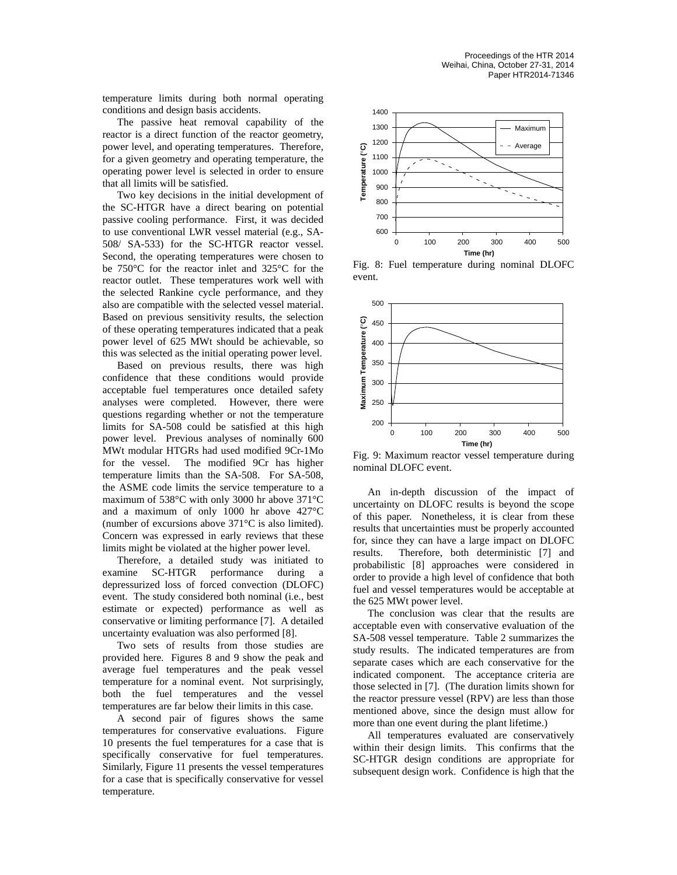temperature limits during both normal operating conditions and design basis accidents.

The passive heat removal capability of the reactor is a direct function of the reactor geometry, power level, and operating temperatures. Therefore, for a given geometry and operating temperature, the operating power level is selected in order to ensure that all limits will be satisfied.

Two key decisions in the initial development of the SC-HTGR have a direct bearing on potential passive cooling performance. First, it was decided to use conventional LWR vessel material (e.g., SA-508/ SA-533) for the SC-HTGR reactor vessel. Second, the operating temperatures were chosen to be 750°C for the reactor inlet and 325°C for the reactor outlet. These temperatures work well with the selected Rankine cycle performance, and they also are compatible with the selected vessel material. Based on previous sensitivity results, the selection of these operating temperatures indicated that a peak power level of 625 MWt should be achievable, so this was selected as the initial operating power level.

Based on previous results, there was high confidence that these conditions would provide acceptable fuel temperatures once detailed safety analyses were completed. However, there were questions regarding whether or not the temperature limits for SA-508 could be satisfied at this high power level. Previous analyses of nominally 600 MWt modular HTGRs had used modified 9Cr-1Mo for the vessel. The modified 9Cr has higher temperature limits than the SA-508. For SA-508, the ASME code limits the service temperature to a maximum of 538°C with only 3000 hr above 371°C and a maximum of only 1000 hr above 427°C (number of excursions above 371°C is also limited). Concern was expressed in early reviews that these limits might be violated at the higher power level.

Therefore, a detailed study was initiated to examine SC-HTGR performance during a depressurized loss of forced convection (DLOFC) event. The study considered both nominal (i.e., best estimate or expected) performance as well as conservative or limiting performance [7]. A detailed uncertainty evaluation was also performed [8].

Two sets of results from those studies are provided here. Figures 8 and 9 show the peak and average fuel temperatures and the peak vessel temperature for a nominal event. Not surprisingly, both the fuel temperatures and the vessel temperatures are far below their limits in this case.

A second pair of figures shows the same temperatures for conservative evaluations. Figure 10 presents the fuel temperatures for a case that is specifically conservative for fuel temperatures. Similarly, Figure 11 presents the vessel temperatures for a case that is specifically conservative for vessel temperature.



Fig. 8: Fuel temperature during nominal DLOFC event.



Fig. 9: Maximum reactor vessel temperature during nominal DLOFC event.

An in-depth discussion of the impact of uncertainty on DLOFC results is beyond the scope of this paper. Nonetheless, it is clear from these results that uncertainties must be properly accounted for, since they can have a large impact on DLOFC results. Therefore, both deterministic [7] and probabilistic [8] approaches were considered in order to provide a high level of confidence that both fuel and vessel temperatures would be acceptable at the 625 MWt power level.

The conclusion was clear that the results are acceptable even with conservative evaluation of the SA-508 vessel temperature. Table 2 summarizes the study results. The indicated temperatures are from separate cases which are each conservative for the indicated component. The acceptance criteria are those selected in [7]. (The duration limits shown for the reactor pressure vessel (RPV) are less than those mentioned above, since the design must allow for more than one event during the plant lifetime.)

All temperatures evaluated are conservatively within their design limits. This confirms that the SC-HTGR design conditions are appropriate for subsequent design work. Confidence is high that the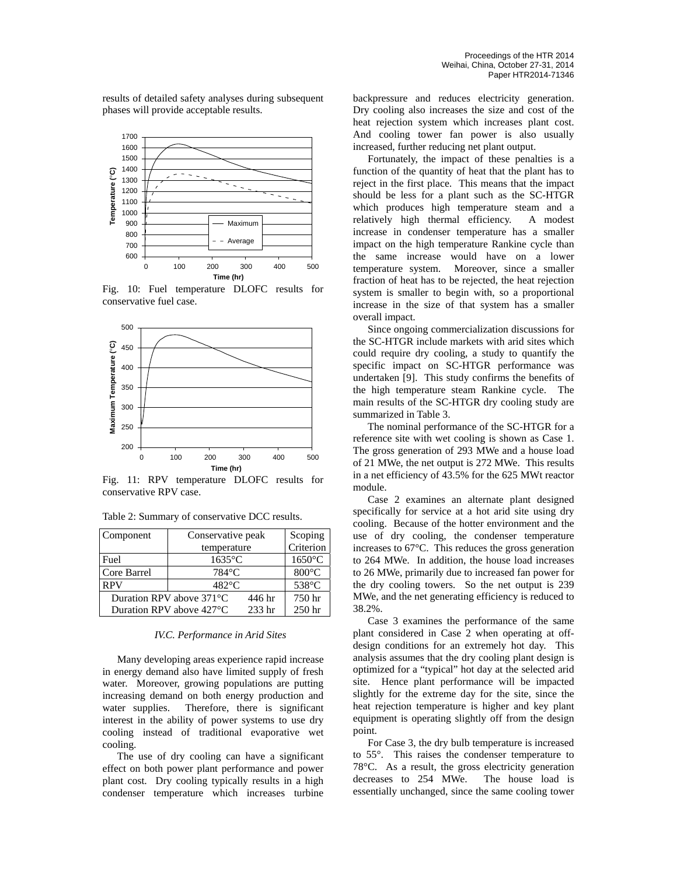results of detailed safety analyses during subsequent phases will provide acceptable results.



Fig. 10: Fuel temperature DLOFC results for conservative fuel case.



Fig. 11: RPV temperature DLOFC results for conservative RPV case.

| Component   | Conservative peak                  |        | Scoping          |
|-------------|------------------------------------|--------|------------------|
|             | temperature                        |        | Criterion        |
| Fuel        | $1635$ °C                          |        | $1650^{\circ}$ C |
| Core Barrel | 784°C                              |        | $800^{\circ}$ C  |
| <b>RPV</b>  | $482^{\circ}$ C                    |        | 538°C            |
|             | Duration RPV above $371^{\circ}$ C | 446 hr | 750 hr           |
|             | Duration RPV above 427 °C          | 233 hr | 250 hr           |

Table 2: Summary of conservative DCC results.

#### *IV.C. Performance in Arid Sites*

Many developing areas experience rapid increase in energy demand also have limited supply of fresh water. Moreover, growing populations are putting increasing demand on both energy production and water supplies. Therefore, there is significant interest in the ability of power systems to use dry cooling instead of traditional evaporative wet cooling.

The use of dry cooling can have a significant effect on both power plant performance and power plant cost. Dry cooling typically results in a high condenser temperature which increases turbine backpressure and reduces electricity generation. Dry cooling also increases the size and cost of the heat rejection system which increases plant cost. And cooling tower fan power is also usually increased, further reducing net plant output.

Fortunately, the impact of these penalties is a function of the quantity of heat that the plant has to reject in the first place. This means that the impact should be less for a plant such as the SC-HTGR which produces high temperature steam and a relatively high thermal efficiency. A modest increase in condenser temperature has a smaller impact on the high temperature Rankine cycle than the same increase would have on a lower temperature system. Moreover, since a smaller fraction of heat has to be rejected, the heat rejection system is smaller to begin with, so a proportional increase in the size of that system has a smaller overall impact.

Since ongoing commercialization discussions for the SC-HTGR include markets with arid sites which could require dry cooling, a study to quantify the specific impact on SC-HTGR performance was undertaken [9]. This study confirms the benefits of the high temperature steam Rankine cycle. The main results of the SC-HTGR dry cooling study are summarized in Table 3.

The nominal performance of the SC-HTGR for a reference site with wet cooling is shown as Case 1. The gross generation of 293 MWe and a house load of 21 MWe, the net output is 272 MWe. This results in a net efficiency of 43.5% for the 625 MWt reactor module.

Case 2 examines an alternate plant designed specifically for service at a hot arid site using dry cooling. Because of the hotter environment and the use of dry cooling, the condenser temperature increases to 67°C. This reduces the gross generation to 264 MWe. In addition, the house load increases to 26 MWe, primarily due to increased fan power for the dry cooling towers. So the net output is 239 MWe, and the net generating efficiency is reduced to 38.2%.

Case 3 examines the performance of the same plant considered in Case 2 when operating at offdesign conditions for an extremely hot day. This analysis assumes that the dry cooling plant design is optimized for a "typical" hot day at the selected arid site. Hence plant performance will be impacted slightly for the extreme day for the site, since the heat rejection temperature is higher and key plant equipment is operating slightly off from the design point.

For Case 3, the dry bulb temperature is increased to 55°. This raises the condenser temperature to 78°C. As a result, the gross electricity generation decreases to 254 MWe. The house load is essentially unchanged, since the same cooling tower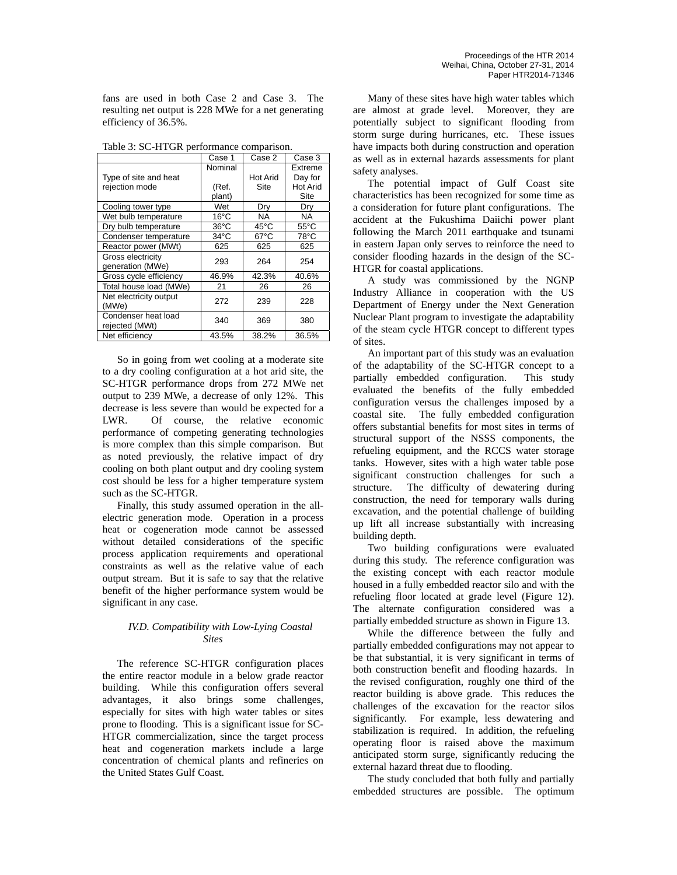fans are used in both Case 2 and Case 3. The resulting net output is 228 MWe for a net generating efficiency of 36.5%.

| raoic 5: 50 111 on performance comparison: | Case 1         | Case 2          | Case 3          |
|--------------------------------------------|----------------|-----------------|-----------------|
|                                            | Nominal        |                 | Extreme         |
| Type of site and heat                      |                | <b>Hot Arid</b> | Day for         |
| rejection mode                             | (Ref.          | Site            | <b>Hot Arid</b> |
|                                            | plant)         |                 | Site            |
| Cooling tower type                         | Wet            | Dry             | Dry             |
| Wet bulb temperature                       | $16^{\circ}$ C | <b>NA</b>       | NA.             |
| Dry bulb temperature                       | $36^{\circ}$ C | 45°C            | $55^{\circ}$ C  |
| Condenser temperature                      | $34^{\circ}$ C | $67^{\circ}$ C  | 78°C            |
| Reactor power (MWt)                        | 625            | 625             | 625             |
| Gross electricity                          | 293            | 264             | 254             |
| generation (MWe)                           |                |                 |                 |
| Gross cycle efficiency                     | 46.9%          | 42.3%           | 40.6%           |
| Total house load (MWe)                     | 21             | 26              | 26              |
| Net electricity output                     | 272            | 239             | 228             |
| (MWe)                                      |                |                 |                 |
| Condenser heat load                        | 340            | 369             | 380             |
| rejected (MWt)                             |                |                 |                 |
| Net efficiency                             | 43.5%          | 38.2%           | 36.5%           |

Table 3: SC-HTGR performance comparison.

So in going from wet cooling at a moderate site to a dry cooling configuration at a hot arid site, the SC-HTGR performance drops from 272 MWe net output to 239 MWe, a decrease of only 12%. This decrease is less severe than would be expected for a LWR. Of course, the relative economic performance of competing generating technologies is more complex than this simple comparison. But as noted previously, the relative impact of dry cooling on both plant output and dry cooling system cost should be less for a higher temperature system such as the SC-HTGR.

Finally, this study assumed operation in the allelectric generation mode. Operation in a process heat or cogeneration mode cannot be assessed without detailed considerations of the specific process application requirements and operational constraints as well as the relative value of each output stream. But it is safe to say that the relative benefit of the higher performance system would be significant in any case.

# *IV.D. Compatibility with Low-Lying Coastal Sites*

The reference SC-HTGR configuration places the entire reactor module in a below grade reactor building. While this configuration offers several advantages, it also brings some challenges, especially for sites with high water tables or sites prone to flooding. This is a significant issue for SC-HTGR commercialization, since the target process heat and cogeneration markets include a large concentration of chemical plants and refineries on the United States Gulf Coast.

Many of these sites have high water tables which are almost at grade level. Moreover, they are potentially subject to significant flooding from storm surge during hurricanes, etc. These issues have impacts both during construction and operation as well as in external hazards assessments for plant safety analyses.

The potential impact of Gulf Coast site characteristics has been recognized for some time as a consideration for future plant configurations. The accident at the Fukushima Daiichi power plant following the March 2011 earthquake and tsunami in eastern Japan only serves to reinforce the need to consider flooding hazards in the design of the SC-HTGR for coastal applications.

A study was commissioned by the NGNP Industry Alliance in cooperation with the US Department of Energy under the Next Generation Nuclear Plant program to investigate the adaptability of the steam cycle HTGR concept to different types of sites.

An important part of this study was an evaluation of the adaptability of the SC-HTGR concept to a partially embedded configuration. This study evaluated the benefits of the fully embedded configuration versus the challenges imposed by a coastal site. The fully embedded configuration offers substantial benefits for most sites in terms of structural support of the NSSS components, the refueling equipment, and the RCCS water storage tanks. However, sites with a high water table pose significant construction challenges for such a structure. The difficulty of dewatering during construction, the need for temporary walls during excavation, and the potential challenge of building up lift all increase substantially with increasing building depth.

Two building configurations were evaluated during this study. The reference configuration was the existing concept with each reactor module housed in a fully embedded reactor silo and with the refueling floor located at grade level (Figure 12). The alternate configuration considered was a partially embedded structure as shown in Figure 13.

While the difference between the fully and partially embedded configurations may not appear to be that substantial, it is very significant in terms of both construction benefit and flooding hazards. In the revised configuration, roughly one third of the reactor building is above grade. This reduces the challenges of the excavation for the reactor silos significantly. For example, less dewatering and stabilization is required. In addition, the refueling operating floor is raised above the maximum anticipated storm surge, significantly reducing the external hazard threat due to flooding.

The study concluded that both fully and partially embedded structures are possible. The optimum